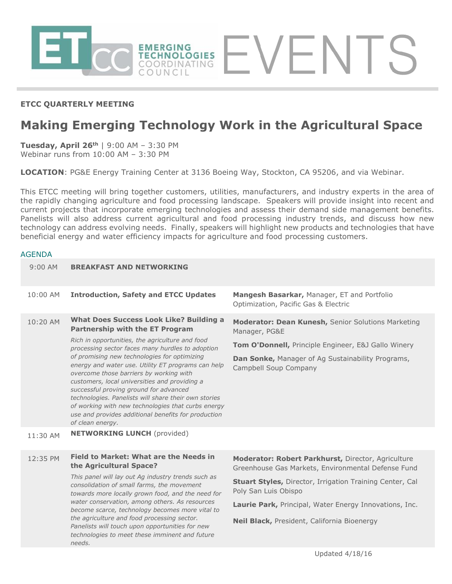

## **ETCC QUARTERLY MEETING**

# **Making Emerging Technology Work in the Agricultural Space**

**Tuesday, April 26th** | 9:00 AM – 3:30 PM Webinar runs from 10:00 AM – 3:30 PM

**LOCATION**: PG&E Energy Training Center at 3136 Boeing Way, Stockton, CA 95206, and via Webinar.

This ETCC meeting will bring together customers, utilities, manufacturers, and industry experts in the area of the rapidly changing agriculture and food processing landscape. Speakers will provide insight into recent and current projects that incorporate emerging technologies and assess their demand side management benefits. Panelists will also address current agricultural and food processing industry trends, and discuss how new technology can address evolving needs. Finally, speakers will highlight new products and technologies that have beneficial energy and water efficiency impacts for agriculture and food processing customers.

#### AGENDA

| 9:00 AM  | <b>BREAKFAST AND NETWORKING</b>                                                                                                                                                                                                                                                                                                                                                                                                                                                                                                                                                                                                      |                                                                                                                                                                                                                                                                                                              |
|----------|--------------------------------------------------------------------------------------------------------------------------------------------------------------------------------------------------------------------------------------------------------------------------------------------------------------------------------------------------------------------------------------------------------------------------------------------------------------------------------------------------------------------------------------------------------------------------------------------------------------------------------------|--------------------------------------------------------------------------------------------------------------------------------------------------------------------------------------------------------------------------------------------------------------------------------------------------------------|
| 10:00 AM | <b>Introduction, Safety and ETCC Updates</b>                                                                                                                                                                                                                                                                                                                                                                                                                                                                                                                                                                                         | <b>Mangesh Basarkar, Manager, ET and Portfolio</b><br>Optimization, Pacific Gas & Electric                                                                                                                                                                                                                   |
| 10:20 AM | <b>What Does Success Look Like? Building a</b><br><b>Partnership with the ET Program</b><br>Rich in opportunities, the agriculture and food<br>processing sector faces many hurdles to adoption<br>of promising new technologies for optimizing<br>energy and water use. Utility ET programs can help<br>overcome those barriers by working with<br>customers, local universities and providing a<br>successful proving ground for advanced<br>technologies. Panelists will share their own stories<br>of working with new technologies that curbs energy<br>use and provides additional benefits for production<br>of clean energy. | Moderator: Dean Kunesh, Senior Solutions Marketing<br>Manager, PG&E<br>Tom O'Donnell, Principle Engineer, E&J Gallo Winery<br>Dan Sonke, Manager of Ag Sustainability Programs,<br>Campbell Soup Company                                                                                                     |
| 11:30 AM | <b>NETWORKING LUNCH (provided)</b>                                                                                                                                                                                                                                                                                                                                                                                                                                                                                                                                                                                                   |                                                                                                                                                                                                                                                                                                              |
| 12:35 PM | <b>Field to Market: What are the Needs in</b><br>the Agricultural Space?<br>This panel will lay out Ag industry trends such as<br>consolidation of small farms, the movement<br>towards more locally grown food, and the need for<br>water conservation, among others. As resources<br>become scarce, technology becomes more vital to<br>the agriculture and food processing sector.<br>Panelists will touch upon opportunities for new<br>technologies to meet these imminent and future<br>needs.                                                                                                                                 | Moderator: Robert Parkhurst, Director, Agriculture<br>Greenhouse Gas Markets, Environmental Defense Fund<br><b>Stuart Styles, Director, Irrigation Training Center, Cal</b><br>Poly San Luis Obispo<br>Laurie Park, Principal, Water Energy Innovations, Inc.<br>Neil Black, President, California Bioenergy |